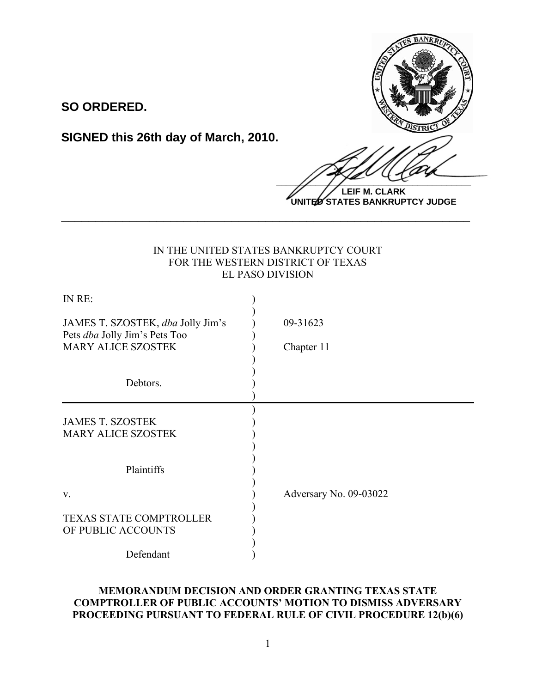

 $\frac{1}{2}$ **LEIF M. CLARK**

**UNITED STATES BANKRUPTCY JUDGE**

## IN THE UNITED STATES BANKRUPTCY COURT FOR THE WESTERN DISTRICT OF TEXAS EL PASO DIVISION

**\_\_\_\_\_\_\_\_\_\_\_\_\_\_\_\_\_\_\_\_\_\_\_\_\_\_\_\_\_\_\_\_\_\_\_\_\_\_\_\_\_\_\_\_\_\_\_\_\_\_\_\_\_\_\_\_\_\_\_\_**

**SO ORDERED.**

**SIGNED this 26th day of March, 2010.**

| IN RE:                                                                    |                        |
|---------------------------------------------------------------------------|------------------------|
| JAMES T. SZOSTEK, dba Jolly Jim's<br>Pets <i>dba</i> Jolly Jim's Pets Too | 09-31623               |
| <b>MARY ALICE SZOSTEK</b>                                                 | Chapter 11             |
| Debtors.                                                                  |                        |
| <b>JAMES T. SZOSTEK</b><br><b>MARY ALICE SZOSTEK</b>                      |                        |
| Plaintiffs                                                                |                        |
| $V_{\cdot}$                                                               | Adversary No. 09-03022 |
| <b>TEXAS STATE COMPTROLLER</b><br>OF PUBLIC ACCOUNTS                      |                        |
| Defendant                                                                 |                        |

# **MEMORANDUM DECISION AND ORDER GRANTING TEXAS STATE COMPTROLLER OF PUBLIC ACCOUNTS' MOTION TO DISMISS ADVERSARY PROCEEDING PURSUANT TO FEDERAL RULE OF CIVIL PROCEDURE 12(b)(6)**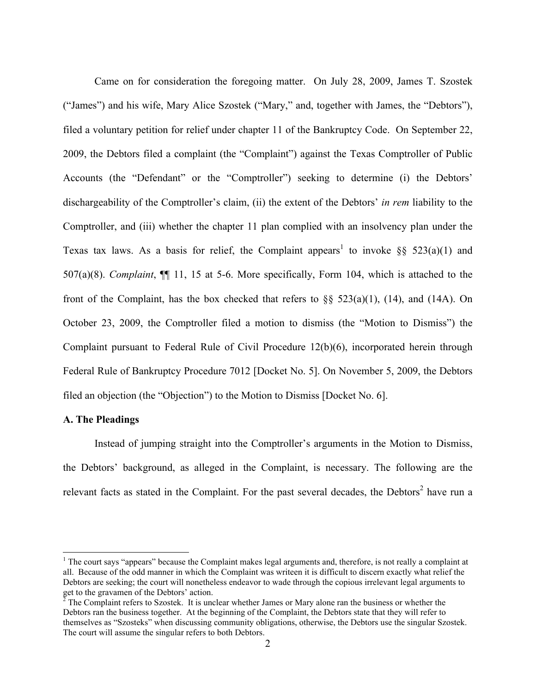Came on for consideration the foregoing matter. On July 28, 2009, James T. Szostek ("James") and his wife, Mary Alice Szostek ("Mary," and, together with James, the "Debtors"), filed a voluntary petition for relief under chapter 11 of the Bankruptcy Code. On September 22, 2009, the Debtors filed a complaint (the "Complaint") against the Texas Comptroller of Public Accounts (the "Defendant" or the "Comptroller") seeking to determine (i) the Debtors' dischargeability of the Comptroller's claim, (ii) the extent of the Debtors' *in rem* liability to the Comptroller, and (iii) whether the chapter 11 plan complied with an insolvency plan under the Texas tax laws. As a basis for relief, the Complaint appears<sup>1</sup> to invoke §§ 523(a)(1) and 507(a)(8). *Complaint*, ¶¶ 11, 15 at 5-6. More specifically, Form 104, which is attached to the front of the Complaint, has the box checked that refers to  $\S$ § 523(a)(1), (14), and (14A). On October 23, 2009, the Comptroller filed a motion to dismiss (the "Motion to Dismiss") the Complaint pursuant to Federal Rule of Civil Procedure 12(b)(6), incorporated herein through Federal Rule of Bankruptcy Procedure 7012 [Docket No. 5]. On November 5, 2009, the Debtors filed an objection (the "Objection") to the Motion to Dismiss [Docket No. 6].

#### **A. The Pleadings**

Instead of jumping straight into the Comptroller's arguments in the Motion to Dismiss, the Debtors' background, as alleged in the Complaint, is necessary. The following are the relevant facts as stated in the Complaint. For the past several decades, the Debtors<sup>2</sup> have run a

 $\frac{1}{1}$  $1$  The court says "appears" because the Complaint makes legal arguments and, therefore, is not really a complaint at all. Because of the odd manner in which the Complaint was writeen it is difficult to discern exactly what relief the Debtors are seeking; the court will nonetheless endeavor to wade through the copious irrelevant legal arguments to get to the gravamen of the Debtors' action. 2 The Complaint refers to Szostek. It is unclear whether James or Mary alone ran the business or whether the

Debtors ran the business together. At the beginning of the Complaint, the Debtors state that they will refer to themselves as "Szosteks" when discussing community obligations, otherwise, the Debtors use the singular Szostek. The court will assume the singular refers to both Debtors.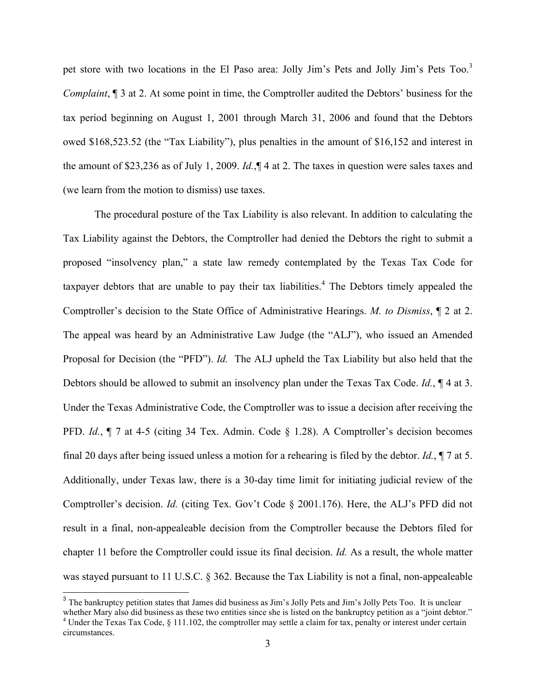pet store with two locations in the El Paso area: Jolly Jim's Pets and Jolly Jim's Pets Too.<sup>3</sup> *Complaint*,  $\sqrt{ }$  3 at 2. At some point in time, the Comptroller audited the Debtors' business for the tax period beginning on August 1, 2001 through March 31, 2006 and found that the Debtors owed \$168,523.52 (the "Tax Liability"), plus penalties in the amount of \$16,152 and interest in the amount of \$23,236 as of July 1, 2009. *Id.*,¶ 4 at 2. The taxes in question were sales taxes and (we learn from the motion to dismiss) use taxes.

The procedural posture of the Tax Liability is also relevant. In addition to calculating the Tax Liability against the Debtors, the Comptroller had denied the Debtors the right to submit a proposed "insolvency plan," a state law remedy contemplated by the Texas Tax Code for taxpayer debtors that are unable to pay their tax liabilities.<sup>4</sup> The Debtors timely appealed the Comptroller's decision to the State Office of Administrative Hearings. *M. to Dismiss*, ¶ 2 at 2. The appeal was heard by an Administrative Law Judge (the "ALJ"), who issued an Amended Proposal for Decision (the "PFD"). *Id.* The ALJ upheld the Tax Liability but also held that the Debtors should be allowed to submit an insolvency plan under the Texas Tax Code. *Id.*, ¶ 4 at 3. Under the Texas Administrative Code, the Comptroller was to issue a decision after receiving the PFD. *Id.*, ¶ 7 at 4-5 (citing 34 Tex. Admin. Code § 1.28). A Comptroller's decision becomes final 20 days after being issued unless a motion for a rehearing is filed by the debtor. *Id.*, ¶ 7 at 5. Additionally, under Texas law, there is a 30-day time limit for initiating judicial review of the Comptroller's decision. *Id.* (citing Tex. Gov't Code § 2001.176). Here, the ALJ's PFD did not result in a final, non-appealeable decision from the Comptroller because the Debtors filed for chapter 11 before the Comptroller could issue its final decision. *Id.* As a result, the whole matter was stayed pursuant to 11 U.S.C. § 362. Because the Tax Liability is not a final, non-appealeable

<sup>&</sup>lt;sup>3</sup> The bankruptcy petition states that James did business as Jim's Jolly Pets and Jim's Jolly Pets Too. It is unclear whether Mary also did business as these two entities since she is listed on the bankruptcy petition as a "joint debtor." <sup>4</sup> Under the Texas Tax Code,  $\S 111.102$ , the comptroller may settle a claim for tax, penalty or interest under certain

circumstances.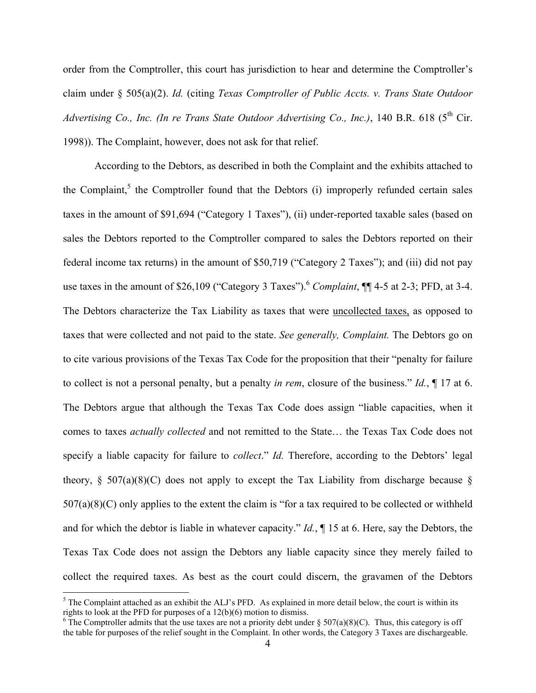order from the Comptroller, this court has jurisdiction to hear and determine the Comptroller's claim under § 505(a)(2). *Id.* (citing *Texas Comptroller of Public Accts. v. Trans State Outdoor Advertising Co., Inc. (In re Trans State Outdoor Advertising Co., Inc.), 140 B.R. 618 (5<sup>th</sup> Cir.* 1998)). The Complaint, however, does not ask for that relief.

According to the Debtors, as described in both the Complaint and the exhibits attached to the Complaint,<sup>5</sup> the Comptroller found that the Debtors  $(i)$  improperly refunded certain sales taxes in the amount of \$91,694 ("Category 1 Taxes"), (ii) under-reported taxable sales (based on sales the Debtors reported to the Comptroller compared to sales the Debtors reported on their federal income tax returns) in the amount of \$50,719 ("Category 2 Taxes"); and (iii) did not pay use taxes in the amount of \$26,109 ("Category 3 Taxes"). <sup>6</sup> *Complaint*, ¶¶ 4-5 at 2-3; PFD, at 3-4. The Debtors characterize the Tax Liability as taxes that were uncollected taxes, as opposed to taxes that were collected and not paid to the state. *See generally, Complaint.* The Debtors go on to cite various provisions of the Texas Tax Code for the proposition that their "penalty for failure to collect is not a personal penalty, but a penalty *in rem*, closure of the business." *Id.*, ¶ 17 at 6. The Debtors argue that although the Texas Tax Code does assign "liable capacities, when it comes to taxes *actually collected* and not remitted to the State… the Texas Tax Code does not specify a liable capacity for failure to *collect*." *Id.* Therefore, according to the Debtors' legal theory,  $\S$  507(a)(8)(C) does not apply to except the Tax Liability from discharge because  $\S$  $507(a)(8)(C)$  only applies to the extent the claim is "for a tax required to be collected or withheld and for which the debtor is liable in whatever capacity." *Id.*, ¶ 15 at 6. Here, say the Debtors, the Texas Tax Code does not assign the Debtors any liable capacity since they merely failed to collect the required taxes. As best as the court could discern, the gravamen of the Debtors

 $<sup>5</sup>$  The Complaint attached as an exhibit the ALJ's PFD. As explained in more detail below, the court is within its</sup> rights to look at the PFD for purposes of a 12(b)(6) motion to dismiss.

<sup>&</sup>lt;sup>6</sup> The Comptroller admits that the use taxes are not a priority debt under  $\S 507(a)(8)(C)$ . Thus, this category is off the table for purposes of the relief sought in the Complaint. In other words, the Category 3 Taxes are dischargeable.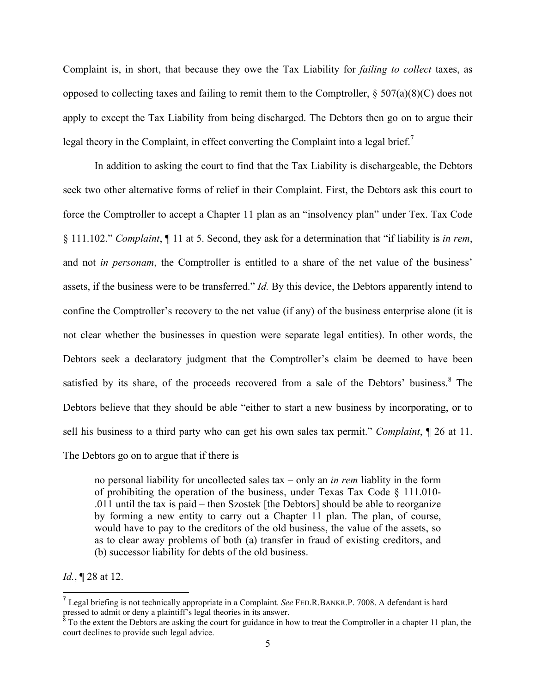Complaint is, in short, that because they owe the Tax Liability for *failing to collect* taxes, as opposed to collecting taxes and failing to remit them to the Comptroller,  $\S 507(a)(8)(C)$  does not apply to except the Tax Liability from being discharged. The Debtors then go on to argue their legal theory in the Complaint, in effect converting the Complaint into a legal brief.<sup>7</sup>

In addition to asking the court to find that the Tax Liability is dischargeable, the Debtors seek two other alternative forms of relief in their Complaint. First, the Debtors ask this court to force the Comptroller to accept a Chapter 11 plan as an "insolvency plan" under Tex. Tax Code § 111.102." *Complaint*, ¶ 11 at 5. Second, they ask for a determination that "if liability is *in rem*, and not *in personam*, the Comptroller is entitled to a share of the net value of the business' assets, if the business were to be transferred." *Id.* By this device, the Debtors apparently intend to confine the Comptroller's recovery to the net value (if any) of the business enterprise alone (it is not clear whether the businesses in question were separate legal entities). In other words, the Debtors seek a declaratory judgment that the Comptroller's claim be deemed to have been satisfied by its share, of the proceeds recovered from a sale of the Debtors' business.<sup>8</sup> The Debtors believe that they should be able "either to start a new business by incorporating, or to sell his business to a third party who can get his own sales tax permit." *Complaint*, ¶ 26 at 11.

The Debtors go on to argue that if there is

no personal liability for uncollected sales tax – only an *in rem* liablity in the form of prohibiting the operation of the business, under Texas Tax Code § 111.010- .011 until the tax is paid – then Szostek [the Debtors] should be able to reorganize by forming a new entity to carry out a Chapter 11 plan. The plan, of course, would have to pay to the creditors of the old business, the value of the assets, so as to clear away problems of both (a) transfer in fraud of existing creditors, and (b) successor liability for debts of the old business.

*Id.*, ¶ 28 at 12.

 <sup>7</sup> Legal briefing is not technically appropriate in a Complaint. *See* FED.R.BANKR.P. 7008. A defendant is hard pressed to admit or deny a plaintiff's legal theories in its answer.

 $8$  To the extent the Debtors are asking the court for guidance in how to treat the Comptroller in a chapter 11 plan, the court declines to provide such legal advice.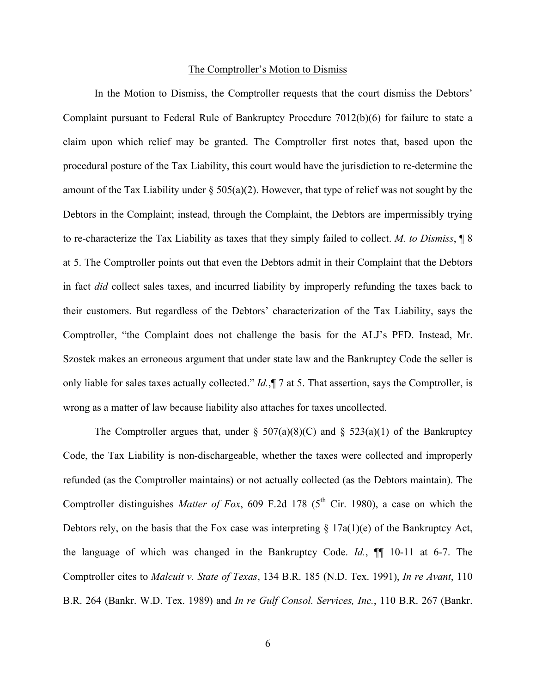#### The Comptroller's Motion to Dismiss

In the Motion to Dismiss, the Comptroller requests that the court dismiss the Debtors' Complaint pursuant to Federal Rule of Bankruptcy Procedure 7012(b)(6) for failure to state a claim upon which relief may be granted. The Comptroller first notes that, based upon the procedural posture of the Tax Liability, this court would have the jurisdiction to re-determine the amount of the Tax Liability under  $\S 505(a)(2)$ . However, that type of relief was not sought by the Debtors in the Complaint; instead, through the Complaint, the Debtors are impermissibly trying to re-characterize the Tax Liability as taxes that they simply failed to collect. *M. to Dismiss*, ¶ 8 at 5. The Comptroller points out that even the Debtors admit in their Complaint that the Debtors in fact *did* collect sales taxes, and incurred liability by improperly refunding the taxes back to their customers. But regardless of the Debtors' characterization of the Tax Liability, says the Comptroller, "the Complaint does not challenge the basis for the ALJ's PFD. Instead, Mr. Szostek makes an erroneous argument that under state law and the Bankruptcy Code the seller is only liable for sales taxes actually collected." *Id.*,¶ 7 at 5. That assertion, says the Comptroller, is wrong as a matter of law because liability also attaches for taxes uncollected.

The Comptroller argues that, under  $\S 507(a)(8)(C)$  and  $\S 523(a)(1)$  of the Bankruptcy Code, the Tax Liability is non-dischargeable, whether the taxes were collected and improperly refunded (as the Comptroller maintains) or not actually collected (as the Debtors maintain). The Comptroller distinguishes *Matter of Fox*, 609 F.2d 178 ( $5<sup>th</sup>$  Cir. 1980), a case on which the Debtors rely, on the basis that the Fox case was interpreting  $\S 17a(1)(e)$  of the Bankruptcy Act, the language of which was changed in the Bankruptcy Code. *Id.*, ¶¶ 10-11 at 6-7. The Comptroller cites to *Malcuit v. State of Texas*, 134 B.R. 185 (N.D. Tex. 1991), *In re Avant*, 110 B.R. 264 (Bankr. W.D. Tex. 1989) and *In re Gulf Consol. Services, Inc.*, 110 B.R. 267 (Bankr.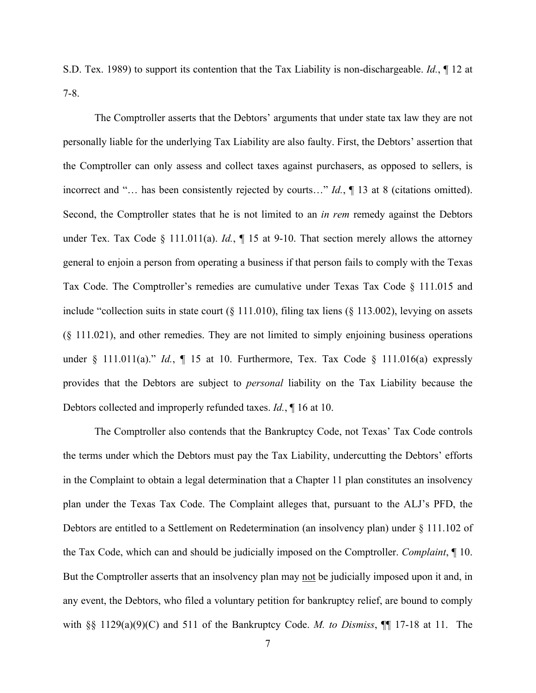S.D. Tex. 1989) to support its contention that the Tax Liability is non-dischargeable. *Id.*, ¶ 12 at 7-8.

The Comptroller asserts that the Debtors' arguments that under state tax law they are not personally liable for the underlying Tax Liability are also faulty. First, the Debtors' assertion that the Comptroller can only assess and collect taxes against purchasers, as opposed to sellers, is incorrect and "… has been consistently rejected by courts…" *Id.*, ¶ 13 at 8 (citations omitted). Second, the Comptroller states that he is not limited to an *in rem* remedy against the Debtors under Tex. Tax Code § 111.011(a). *Id.*, ¶ 15 at 9-10. That section merely allows the attorney general to enjoin a person from operating a business if that person fails to comply with the Texas Tax Code. The Comptroller's remedies are cumulative under Texas Tax Code § 111.015 and include "collection suits in state court  $(\S 111.010)$ , filing tax liens  $(\S 113.002)$ , levying on assets (§ 111.021), and other remedies. They are not limited to simply enjoining business operations under § 111.011(a)." *Id.*, ¶ 15 at 10. Furthermore, Tex. Tax Code § 111.016(a) expressly provides that the Debtors are subject to *personal* liability on the Tax Liability because the Debtors collected and improperly refunded taxes. *Id.*, ¶ 16 at 10.

The Comptroller also contends that the Bankruptcy Code, not Texas' Tax Code controls the terms under which the Debtors must pay the Tax Liability, undercutting the Debtors' efforts in the Complaint to obtain a legal determination that a Chapter 11 plan constitutes an insolvency plan under the Texas Tax Code. The Complaint alleges that, pursuant to the ALJ's PFD, the Debtors are entitled to a Settlement on Redetermination (an insolvency plan) under § 111.102 of the Tax Code, which can and should be judicially imposed on the Comptroller. *Complaint*, ¶ 10. But the Comptroller asserts that an insolvency plan may not be judicially imposed upon it and, in any event, the Debtors, who filed a voluntary petition for bankruptcy relief, are bound to comply with §§ 1129(a)(9)(C) and 511 of the Bankruptcy Code. *M. to Dismiss*, ¶¶ 17-18 at 11. The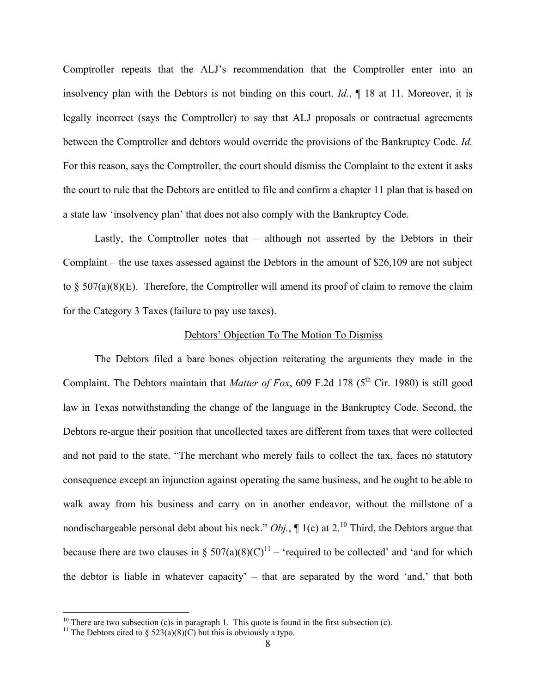Comptroller repeats that the ALJ's recommendation that the Comptroller enter into an insolvency plan with the Debtors is not binding on this court. *Id.*, ¶ 18 at 11. Moreover, it is legally incorrect (says the Comptroller) to say that ALJ proposals or contractual agreements between the Comptroller and debtors would override the provisions of the Bankruptcy Code. *Id.* For this reason, says the Comptroller, the court should dismiss the Complaint to the extent it asks the court to rule that the Debtors are entitled to file and confirm a chapter 11 plan that is based on a state law 'insolvency plan' that does not also comply with the Bankruptcy Code.

Lastly, the Comptroller notes that – although not asserted by the Debtors in their Complaint – the use taxes assessed against the Debtors in the amount of \$26,109 are not subject to  $\S$  507(a)(8)(E). Therefore, the Comptroller will amend its proof of claim to remove the claim for the Category 3 Taxes (failure to pay use taxes).

#### Debtors' Objection To The Motion To Dismiss

The Debtors filed a bare bones objection reiterating the arguments they made in the Complaint. The Debtors maintain that *Matter of Fox*, 609 F.2d 178 ( $5<sup>th</sup>$  Cir. 1980) is still good law in Texas notwithstanding the change of the language in the Bankruptcy Code. Second, the Debtors re-argue their position that uncollected taxes are different from taxes that were collected and not paid to the state. "The merchant who merely fails to collect the tax, faces no statutory consequence except an injunction against operating the same business, and he ought to be able to walk away from his business and carry on in another endeavor, without the millstone of a nondischargeable personal debt about his neck." *Obj.*,  $\P$  1(c) at 2.<sup>10</sup> Third, the Debtors argue that because there are two clauses in §  $507(a)(8)(C)^{11}$  – 'required to be collected' and 'and for which the debtor is liable in whatever capacity' – that are separated by the word 'and,' that both

<sup>&</sup>lt;sup>10</sup> There are two subsection (c)s in paragraph 1. This quote is found in the first subsection (c). <sup>11</sup> The Debtors cited to § 523(a)(8)(C) but this is obviously a typo.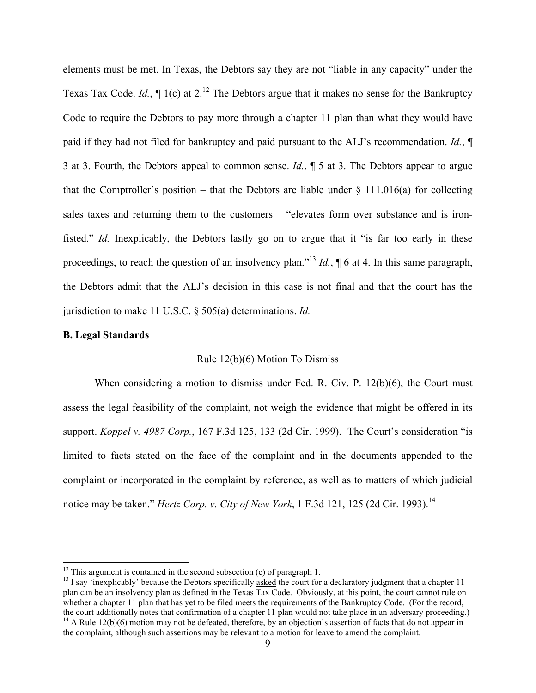elements must be met. In Texas, the Debtors say they are not "liable in any capacity" under the Texas Tax Code. *Id.*,  $\P$  1(c) at 2.<sup>12</sup> The Debtors argue that it makes no sense for the Bankruptcy Code to require the Debtors to pay more through a chapter 11 plan than what they would have paid if they had not filed for bankruptcy and paid pursuant to the ALJ's recommendation. *Id.*, ¶ 3 at 3. Fourth, the Debtors appeal to common sense. *Id.*, ¶ 5 at 3. The Debtors appear to argue that the Comptroller's position – that the Debtors are liable under  $\S$  111.016(a) for collecting sales taxes and returning them to the customers – "elevates form over substance and is ironfisted." *Id.* Inexplicably, the Debtors lastly go on to argue that it "is far too early in these proceedings, to reach the question of an insolvency plan."13 *Id.*, ¶ 6 at 4. In this same paragraph, the Debtors admit that the ALJ's decision in this case is not final and that the court has the jurisdiction to make 11 U.S.C. § 505(a) determinations. *Id.*

### **B. Legal Standards**

### Rule 12(b)(6) Motion To Dismiss

When considering a motion to dismiss under Fed. R. Civ. P. 12(b)(6), the Court must assess the legal feasibility of the complaint, not weigh the evidence that might be offered in its support. *Koppel v. 4987 Corp.*, 167 F.3d 125, 133 (2d Cir. 1999). The Court's consideration "is limited to facts stated on the face of the complaint and in the documents appended to the complaint or incorporated in the complaint by reference, as well as to matters of which judicial notice may be taken." *Hertz Corp. v. City of New York*, 1 F.3d 121, 125 (2d Cir. 1993).<sup>14</sup>

<sup>&</sup>lt;sup>12</sup> This argument is contained in the second subsection (c) of paragraph 1.<br><sup>13</sup> I say 'inexplicably' because the Debtors specifically asked the court for a declaratory judgment that a chapter 11 plan can be an insolvency plan as defined in the Texas Tax Code. Obviously, at this point, the court cannot rule on whether a chapter 11 plan that has yet to be filed meets the requirements of the Bankruptcy Code. (For the record, the court additionally notes that confirmation of a chapter 11 plan would not take place in an adversary proceeding.) <sup>14</sup> A Rule 12(b)(6) motion may not be defeated, therefore, by an objection's assertion of facts that do not appear in the complaint, although such assertions may be relevant to a motion for leave to amend the complaint.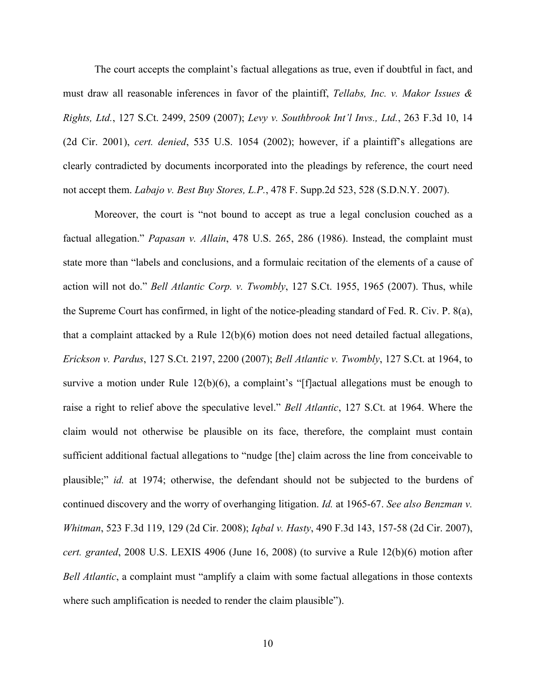The court accepts the complaint's factual allegations as true, even if doubtful in fact, and must draw all reasonable inferences in favor of the plaintiff, *Tellabs, Inc. v. Makor Issues & Rights, Ltd.*, 127 S.Ct. 2499, 2509 (2007); *Levy v. Southbrook Int'l Invs., Ltd.*, 263 F.3d 10, 14 (2d Cir. 2001), *cert. denied*, 535 U.S. 1054 (2002); however, if a plaintiff's allegations are clearly contradicted by documents incorporated into the pleadings by reference, the court need not accept them. *Labajo v. Best Buy Stores, L.P.*, 478 F. Supp.2d 523, 528 (S.D.N.Y. 2007).

Moreover, the court is "not bound to accept as true a legal conclusion couched as a factual allegation." *Papasan v. Allain*, 478 U.S. 265, 286 (1986). Instead, the complaint must state more than "labels and conclusions, and a formulaic recitation of the elements of a cause of action will not do." *Bell Atlantic Corp. v. Twombly*, 127 S.Ct. 1955, 1965 (2007). Thus, while the Supreme Court has confirmed, in light of the notice-pleading standard of Fed. R. Civ. P. 8(a), that a complaint attacked by a Rule  $12(b)(6)$  motion does not need detailed factual allegations, *Erickson v. Pardus*, 127 S.Ct. 2197, 2200 (2007); *Bell Atlantic v. Twombly*, 127 S.Ct. at 1964, to survive a motion under Rule 12(b)(6), a complaint's "[f]actual allegations must be enough to raise a right to relief above the speculative level." *Bell Atlantic*, 127 S.Ct. at 1964. Where the claim would not otherwise be plausible on its face, therefore, the complaint must contain sufficient additional factual allegations to "nudge [the] claim across the line from conceivable to plausible;" *id.* at 1974; otherwise, the defendant should not be subjected to the burdens of continued discovery and the worry of overhanging litigation. *Id.* at 1965-67. *See also Benzman v. Whitman*, 523 F.3d 119, 129 (2d Cir. 2008); *Iqbal v. Hasty*, 490 F.3d 143, 157-58 (2d Cir. 2007), *cert. granted*, 2008 U.S. LEXIS 4906 (June 16, 2008) (to survive a Rule 12(b)(6) motion after *Bell Atlantic*, a complaint must "amplify a claim with some factual allegations in those contexts where such amplification is needed to render the claim plausible").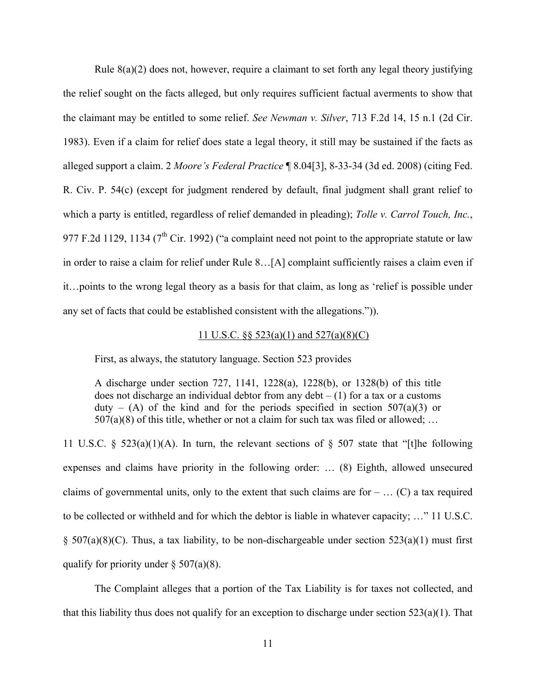Rule  $8(a)(2)$  does not, however, require a claimant to set forth any legal theory justifying the relief sought on the facts alleged, but only requires sufficient factual averments to show that the claimant may be entitled to some relief. *See Newman v. Silver*, 713 F.2d 14, 15 n.1 (2d Cir. 1983). Even if a claim for relief does state a legal theory, it still may be sustained if the facts as alleged support a claim. 2 *Moore's Federal Practice* ¶ 8.04[3], 8-33-34 (3d ed. 2008) (citing Fed. R. Civ. P. 54(c) (except for judgment rendered by default, final judgment shall grant relief to which a party is entitled, regardless of relief demanded in pleading); *Tolle v. Carrol Touch, Inc.*, 977 F.2d 1129, 1134 ( $7<sup>th</sup>$  Cir. 1992) ("a complaint need not point to the appropriate statute or law in order to raise a claim for relief under Rule 8…[A] complaint sufficiently raises a claim even if it…points to the wrong legal theory as a basis for that claim, as long as 'relief is possible under any set of facts that could be established consistent with the allegations.")).

### 11 U.S.C. §§ 523(a)(1) and 527(a)(8)(C)

First, as always, the statutory language. Section 523 provides

A discharge under section 727, 1141, 1228(a), 1228(b), or 1328(b) of this title does not discharge an individual debtor from any debt  $- (1)$  for a tax or a customs duty – (A) of the kind and for the periods specified in section  $507(a)(3)$  or  $507(a)(8)$  of this title, whether or not a claim for such tax was filed or allowed; ...

11 U.S.C. § 523(a)(1)(A). In turn, the relevant sections of § 507 state that "[t]he following expenses and claims have priority in the following order: … (8) Eighth, allowed unsecured claims of governmental units, only to the extent that such claims are for  $- \dots (C)$  a tax required to be collected or withheld and for which the debtor is liable in whatever capacity; …" 11 U.S.C.  $\S$  507(a)(8)(C). Thus, a tax liability, to be non-dischargeable under section 523(a)(1) must first qualify for priority under  $\S 507(a)(8)$ .

The Complaint alleges that a portion of the Tax Liability is for taxes not collected, and that this liability thus does not qualify for an exception to discharge under section  $523(a)(1)$ . That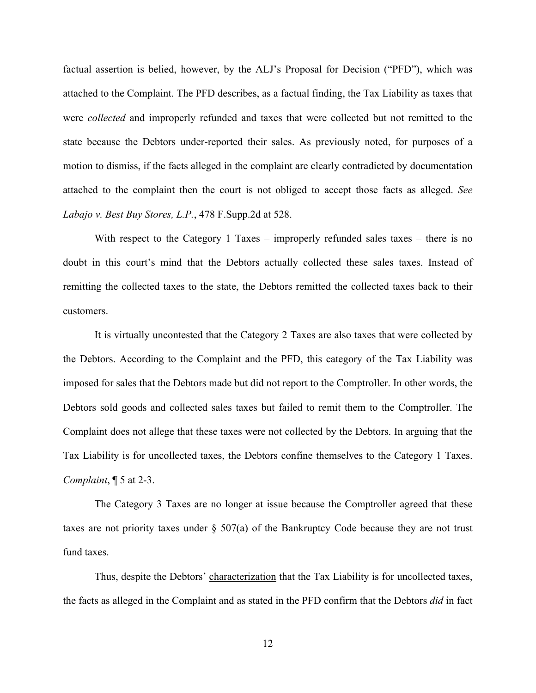factual assertion is belied, however, by the ALJ's Proposal for Decision ("PFD"), which was attached to the Complaint. The PFD describes, as a factual finding, the Tax Liability as taxes that were *collected* and improperly refunded and taxes that were collected but not remitted to the state because the Debtors under-reported their sales. As previously noted, for purposes of a motion to dismiss, if the facts alleged in the complaint are clearly contradicted by documentation attached to the complaint then the court is not obliged to accept those facts as alleged. *See Labajo v. Best Buy Stores, L.P.*, 478 F.Supp.2d at 528.

With respect to the Category 1 Taxes – improperly refunded sales taxes – there is no doubt in this court's mind that the Debtors actually collected these sales taxes. Instead of remitting the collected taxes to the state, the Debtors remitted the collected taxes back to their customers.

It is virtually uncontested that the Category 2 Taxes are also taxes that were collected by the Debtors. According to the Complaint and the PFD, this category of the Tax Liability was imposed for sales that the Debtors made but did not report to the Comptroller. In other words, the Debtors sold goods and collected sales taxes but failed to remit them to the Comptroller. The Complaint does not allege that these taxes were not collected by the Debtors. In arguing that the Tax Liability is for uncollected taxes, the Debtors confine themselves to the Category 1 Taxes. *Complaint*, ¶ 5 at 2-3.

The Category 3 Taxes are no longer at issue because the Comptroller agreed that these taxes are not priority taxes under § 507(a) of the Bankruptcy Code because they are not trust fund taxes.

Thus, despite the Debtors' characterization that the Tax Liability is for uncollected taxes, the facts as alleged in the Complaint and as stated in the PFD confirm that the Debtors *did* in fact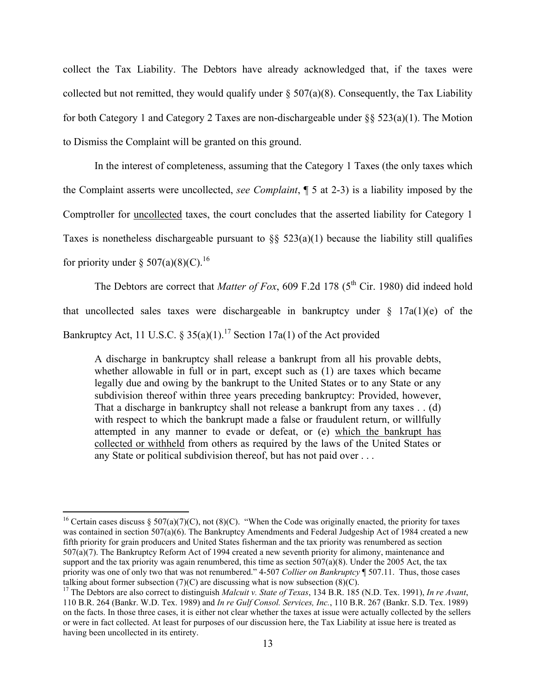collect the Tax Liability. The Debtors have already acknowledged that, if the taxes were collected but not remitted, they would qualify under  $\S 507(a)(8)$ . Consequently, the Tax Liability for both Category 1 and Category 2 Taxes are non-dischargeable under §§ 523(a)(1). The Motion to Dismiss the Complaint will be granted on this ground.

In the interest of completeness, assuming that the Category 1 Taxes (the only taxes which the Complaint asserts were uncollected, *see Complaint*, ¶ 5 at 2-3) is a liability imposed by the Comptroller for uncollected taxes, the court concludes that the asserted liability for Category 1 Taxes is nonetheless dischargeable pursuant to  $\S$ § 523(a)(1) because the liability still qualifies for priority under  $\S 507(a)(8)(C)$ .<sup>16</sup>

The Debtors are correct that *Matter of Fox*, 609 F.2d 178 ( $5<sup>th</sup>$  Cir. 1980) did indeed hold that uncollected sales taxes were dischargeable in bankruptcy under  $\S$  17a(1)(e) of the Bankruptcy Act, 11 U.S.C. § 35(a)(1).<sup>17</sup> Section 17a(1) of the Act provided

A discharge in bankruptcy shall release a bankrupt from all his provable debts, whether allowable in full or in part, except such as (1) are taxes which became legally due and owing by the bankrupt to the United States or to any State or any subdivision thereof within three years preceding bankruptcy: Provided, however, That a discharge in bankruptcy shall not release a bankrupt from any taxes . . (d) with respect to which the bankrupt made a false or fraudulent return, or willfully attempted in any manner to evade or defeat, or (e) which the bankrupt has collected or withheld from others as required by the laws of the United States or any State or political subdivision thereof, but has not paid over . . .

<sup>&</sup>lt;sup>16</sup> Certain cases discuss § 507(a)(7)(C), not (8)(C). "When the Code was originally enacted, the priority for taxes was contained in section 507(a)(6). The Bankruptcy Amendments and Federal Judgeship Act of 1984 created a new fifth priority for grain producers and United States fisherman and the tax priority was renumbered as section 507(a)(7). The Bankruptcy Reform Act of 1994 created a new seventh priority for alimony, maintenance and support and the tax priority was again renumbered, this time as section  $507(a)(8)$ . Under the 2005 Act, the tax priority was one of only two that was not renumbered." 4-507 *Collier on Bankruptcy* ¶ 507.11. Thus, those cases talking about former subsection (7)(C) are discussing what is now subsection (8)(C). 17 The Debtors are also correct to distinguish *Malcuit v. State of Texas*, 134 B.R. 185 (N.D. Tex. 1991), *In re Avant*,

<sup>110</sup> B.R. 264 (Bankr. W.D. Tex. 1989) and *In re Gulf Consol. Services, Inc.*, 110 B.R. 267 (Bankr. S.D. Tex. 1989) on the facts. In those three cases, it is either not clear whether the taxes at issue were actually collected by the sellers or were in fact collected. At least for purposes of our discussion here, the Tax Liability at issue here is treated as having been uncollected in its entirety.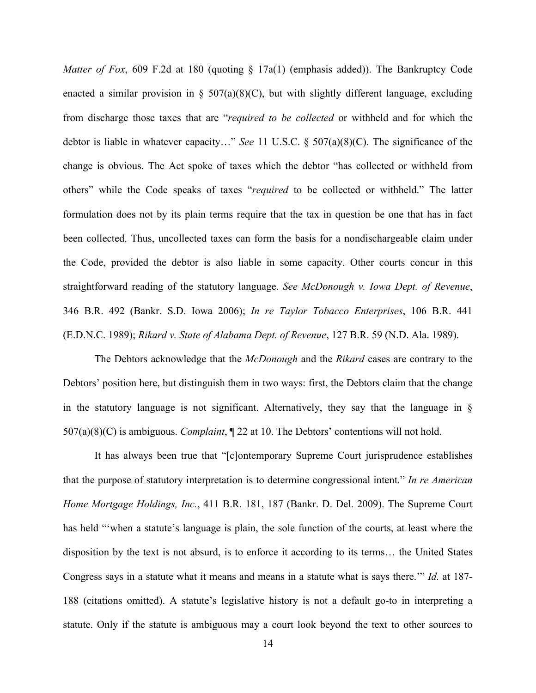*Matter of Fox*, 609 F.2d at 180 (quoting  $\S$  17a(1) (emphasis added)). The Bankruptcy Code enacted a similar provision in  $\S$  507(a)(8)(C), but with slightly different language, excluding from discharge those taxes that are "*required to be collected* or withheld and for which the debtor is liable in whatever capacity…" *See* 11 U.S.C. § 507(a)(8)(C). The significance of the change is obvious. The Act spoke of taxes which the debtor "has collected or withheld from others" while the Code speaks of taxes "*required* to be collected or withheld." The latter formulation does not by its plain terms require that the tax in question be one that has in fact been collected. Thus, uncollected taxes can form the basis for a nondischargeable claim under the Code, provided the debtor is also liable in some capacity. Other courts concur in this straightforward reading of the statutory language. *See McDonough v. Iowa Dept. of Revenue*, 346 B.R. 492 (Bankr. S.D. Iowa 2006); *In re Taylor Tobacco Enterprises*, 106 B.R. 441 (E.D.N.C. 1989); *Rikard v. State of Alabama Dept. of Revenue*, 127 B.R. 59 (N.D. Ala. 1989).

The Debtors acknowledge that the *McDonough* and the *Rikard* cases are contrary to the Debtors' position here, but distinguish them in two ways: first, the Debtors claim that the change in the statutory language is not significant. Alternatively, they say that the language in § 507(a)(8)(C) is ambiguous. *Complaint*, ¶ 22 at 10. The Debtors' contentions will not hold.

It has always been true that "[c]ontemporary Supreme Court jurisprudence establishes that the purpose of statutory interpretation is to determine congressional intent." *In re American Home Mortgage Holdings, Inc.*, 411 B.R. 181, 187 (Bankr. D. Del. 2009). The Supreme Court has held "'when a statute's language is plain, the sole function of the courts, at least where the disposition by the text is not absurd, is to enforce it according to its terms… the United States Congress says in a statute what it means and means in a statute what is says there.'" *Id.* at 187- 188 (citations omitted). A statute's legislative history is not a default go-to in interpreting a statute. Only if the statute is ambiguous may a court look beyond the text to other sources to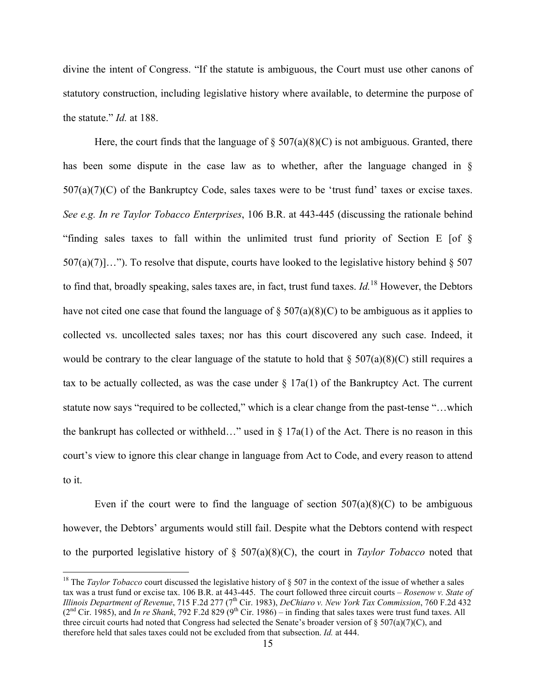divine the intent of Congress. "If the statute is ambiguous, the Court must use other canons of statutory construction, including legislative history where available, to determine the purpose of the statute." *Id.* at 188.

Here, the court finds that the language of  $\S 507(a)(8)(C)$  is not ambiguous. Granted, there has been some dispute in the case law as to whether, after the language changed in §  $507(a)(7)(C)$  of the Bankruptcy Code, sales taxes were to be 'trust fund' taxes or excise taxes. *See e.g. In re Taylor Tobacco Enterprises*, 106 B.R. at 443-445 (discussing the rationale behind "finding sales taxes to fall within the unlimited trust fund priority of Section E [of §  $507(a)(7)$ ..."). To resolve that dispute, courts have looked to the legislative history behind § 507 to find that, broadly speaking, sales taxes are, in fact, trust fund taxes. *Id.*18 However, the Debtors have not cited one case that found the language of  $\S 507(a)(8)(C)$  to be ambiguous as it applies to collected vs. uncollected sales taxes; nor has this court discovered any such case. Indeed, it would be contrary to the clear language of the statute to hold that  $\S 507(a)(8)(C)$  still requires a tax to be actually collected, as was the case under  $\S 17a(1)$  of the Bankruptcy Act. The current statute now says "required to be collected," which is a clear change from the past-tense "…which the bankrupt has collected or withheld…" used in  $\S 17a(1)$  of the Act. There is no reason in this court's view to ignore this clear change in language from Act to Code, and every reason to attend to it.

Even if the court were to find the language of section  $507(a)(8)(C)$  to be ambiguous however, the Debtors' arguments would still fail. Despite what the Debtors contend with respect to the purported legislative history of § 507(a)(8)(C), the court in *Taylor Tobacco* noted that

<sup>&</sup>lt;sup>18</sup> The *Taylor Tobacco* court discussed the legislative history of § 507 in the context of the issue of whether a sales tax was a trust fund or excise tax. 106 B.R. at 443-445. The court followed three circuit courts – *Rosenow v. State of Illinois Department of Revenue, 715 F.2d 277 (7<sup>th</sup> Cir. 1983), <i>DeChiaro v. New York Tax Commission, 760 F.2d 432*  $(2<sup>nd</sup> Cir. 1985)$ , and *In re Shank*, 792 F.2d 829 (9<sup>th</sup> Cir. 1986) – in finding that sales taxes were trust fund taxes. All three circuit courts had noted that Congress had selected the Senate's broader version of  $\S 507(a)(7)(C)$ , and therefore held that sales taxes could not be excluded from that subsection. *Id.* at 444.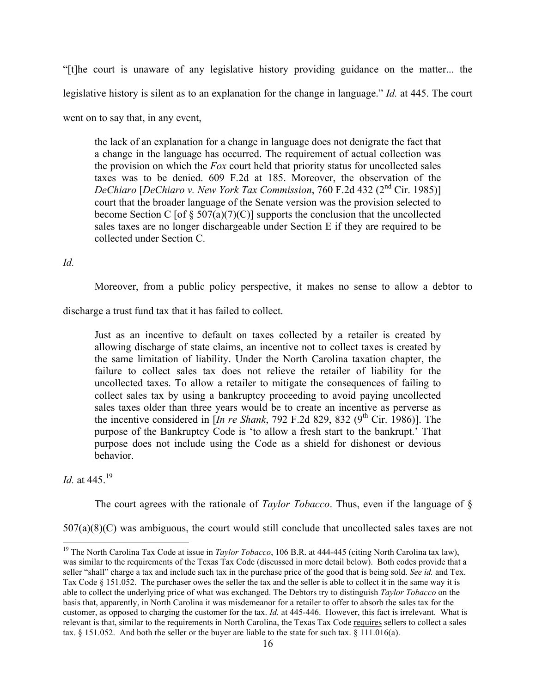"[t]he court is unaware of any legislative history providing guidance on the matter... the legislative history is silent as to an explanation for the change in language." *Id.* at 445. The court went on to say that, in any event,

the lack of an explanation for a change in language does not denigrate the fact that a change in the language has occurred. The requirement of actual collection was the provision on which the *Fox* court held that priority status for uncollected sales taxes was to be denied. 609 F.2d at 185. Moreover, the observation of the *DeChiaro* [*DeChiaro v. New York Tax Commission*, 760 F.2d 432 (2nd Cir. 1985)] court that the broader language of the Senate version was the provision selected to become Section C [of  $\S 507(a)(7)(C)$ ] supports the conclusion that the uncollected sales taxes are no longer dischargeable under Section E if they are required to be collected under Section C.

### *Id.*

Moreover, from a public policy perspective, it makes no sense to allow a debtor to

discharge a trust fund tax that it has failed to collect.

Just as an incentive to default on taxes collected by a retailer is created by allowing discharge of state claims, an incentive not to collect taxes is created by the same limitation of liability. Under the North Carolina taxation chapter, the failure to collect sales tax does not relieve the retailer of liability for the uncollected taxes. To allow a retailer to mitigate the consequences of failing to collect sales tax by using a bankruptcy proceeding to avoid paying uncollected sales taxes older than three years would be to create an incentive as perverse as the incentive considered in  $[In re Shank, 792 F.2d 829, 832 (9<sup>th</sup> Cir, 1986)]$ . The purpose of the Bankruptcy Code is 'to allow a fresh start to the bankrupt.' That purpose does not include using the Code as a shield for dishonest or devious behavior.

*Id.* at 445.<sup>19</sup>

The court agrees with the rationale of *Taylor Tobacco*. Thus, even if the language of §

507(a)(8)(C) was ambiguous, the court would still conclude that uncollected sales taxes are not

<sup>&</sup>lt;sup>19</sup> The North Carolina Tax Code at issue in *Taylor Tobacco*, 106 B.R. at 444-445 (citing North Carolina tax law), was similar to the requirements of the Texas Tax Code (discussed in more detail below). Both codes provide that a seller "shall" charge a tax and include such tax in the purchase price of the good that is being sold. *See id.* and Tex. Tax Code § 151.052. The purchaser owes the seller the tax and the seller is able to collect it in the same way it is able to collect the underlying price of what was exchanged. The Debtors try to distinguish *Taylor Tobacco* on the basis that, apparently, in North Carolina it was misdemeanor for a retailer to offer to absorb the sales tax for the customer, as opposed to charging the customer for the tax. *Id.* at 445-446. However, this fact is irrelevant. What is relevant is that, similar to the requirements in North Carolina, the Texas Tax Code requires sellers to collect a sales tax.  $\S$  151.052. And both the seller or the buyer are liable to the state for such tax.  $\S$  111.016(a).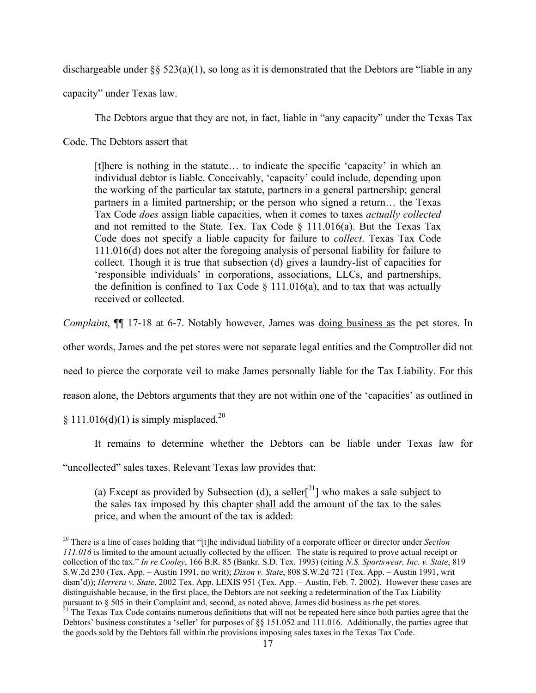dischargeable under  $\S$ § 523(a)(1), so long as it is demonstrated that the Debtors are "liable in any

capacity" under Texas law.

The Debtors argue that they are not, in fact, liable in "any capacity" under the Texas Tax

Code. The Debtors assert that

[t]here is nothing in the statute… to indicate the specific 'capacity' in which an individual debtor is liable. Conceivably, 'capacity' could include, depending upon the working of the particular tax statute, partners in a general partnership; general partners in a limited partnership; or the person who signed a return… the Texas Tax Code *does* assign liable capacities, when it comes to taxes *actually collected*  and not remitted to the State. Tex. Tax Code  $\S$  111.016(a). But the Texas Tax Code does not specify a liable capacity for failure to *collect*. Texas Tax Code 111.016(d) does not alter the foregoing analysis of personal liability for failure to collect. Though it is true that subsection (d) gives a laundry-list of capacities for 'responsible individuals' in corporations, associations, LLCs, and partnerships, the definition is confined to Tax Code  $\S$  111.016(a), and to tax that was actually received or collected.

*Complaint*, ¶¶ 17-18 at 6-7. Notably however, James was doing business as the pet stores. In

other words, James and the pet stores were not separate legal entities and the Comptroller did not

need to pierce the corporate veil to make James personally liable for the Tax Liability. For this

reason alone, the Debtors arguments that they are not within one of the 'capacities' as outlined in

§ 111.016(d)(1) is simply misplaced.<sup>20</sup>

It remains to determine whether the Debtors can be liable under Texas law for

"uncollected" sales taxes. Relevant Texas law provides that:

(a) Except as provided by Subsection (d), a seller<sup>[21</sup>] who makes a sale subject to the sales tax imposed by this chapter shall add the amount of the tax to the sales price, and when the amount of the tax is added:

20 There is a line of cases holding that "[t]he individual liability of a corporate officer or director under *Section 111.016* is limited to the amount actually collected by the officer. The state is required to prove actual receipt or collection of the tax." *In re Cooley*, 166 B.R. 85 (Bankr. S.D. Tex. 1993) (citing *N.S. Sportswear, Inc. v. State*, 819 S.W.2d 230 (Tex. App. – Austin 1991, no writ); *Dixon v. State*, 808 S.W.2d 721 (Tex. App. – Austin 1991, writ dism'd)); *Herrera v. State*, 2002 Tex. App. LEXIS 951 (Tex. App. - Austin, Feb. 7, 2002). However these cases are distinguishable because, in the first place, the Debtors are not seeking a redetermination of the Tax Liability pursuant to  $\S$  505 in their Complaint and, second, as noted above, James did business as the pet stores.<br><sup>21</sup> The Texas Tax Code contains numerous definitions that will not be repeated here since both parties agree that

Debtors' business constitutes a 'seller' for purposes of §§ 151.052 and 111.016. Additionally, the parties agree that the goods sold by the Debtors fall within the provisions imposing sales taxes in the Texas Tax Code.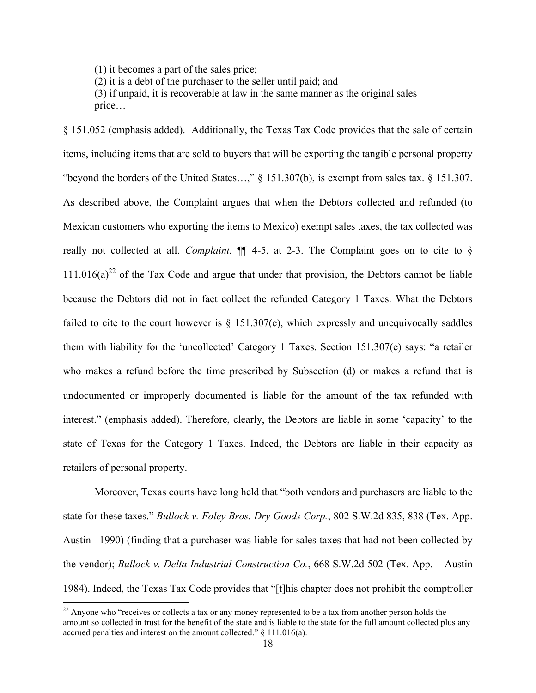(1) it becomes a part of the sales price;

(2) it is a debt of the purchaser to the seller until paid; and

(3) if unpaid, it is recoverable at law in the same manner as the original sales price…

§ 151.052 (emphasis added). Additionally, the Texas Tax Code provides that the sale of certain items, including items that are sold to buyers that will be exporting the tangible personal property "beyond the borders of the United States…," § 151.307(b), is exempt from sales tax. § 151.307. As described above, the Complaint argues that when the Debtors collected and refunded (to Mexican customers who exporting the items to Mexico) exempt sales taxes, the tax collected was really not collected at all. *Complaint*, ¶¶ 4-5, at 2-3. The Complaint goes on to cite to §  $111.016(a)^{22}$  of the Tax Code and argue that under that provision, the Debtors cannot be liable because the Debtors did not in fact collect the refunded Category 1 Taxes. What the Debtors failed to cite to the court however is  $\S$  151.307(e), which expressly and unequivocally saddles them with liability for the 'uncollected' Category 1 Taxes. Section 151.307(e) says: "a retailer who makes a refund before the time prescribed by Subsection (d) or makes a refund that is undocumented or improperly documented is liable for the amount of the tax refunded with interest." (emphasis added). Therefore, clearly, the Debtors are liable in some 'capacity' to the state of Texas for the Category 1 Taxes. Indeed, the Debtors are liable in their capacity as retailers of personal property.

Moreover, Texas courts have long held that "both vendors and purchasers are liable to the state for these taxes." *Bullock v. Foley Bros. Dry Goods Corp.*, 802 S.W.2d 835, 838 (Tex. App. Austin –1990) (finding that a purchaser was liable for sales taxes that had not been collected by the vendor); *Bullock v. Delta Industrial Construction Co.*, 668 S.W.2d 502 (Tex. App. – Austin 1984). Indeed, the Texas Tax Code provides that "[t]his chapter does not prohibit the comptroller

<sup>&</sup>lt;sup>22</sup> Anyone who "receives or collects a tax or any money represented to be a tax from another person holds the amount so collected in trust for the benefit of the state and is liable to the state for the full amount collected plus any accrued penalties and interest on the amount collected." § 111.016(a).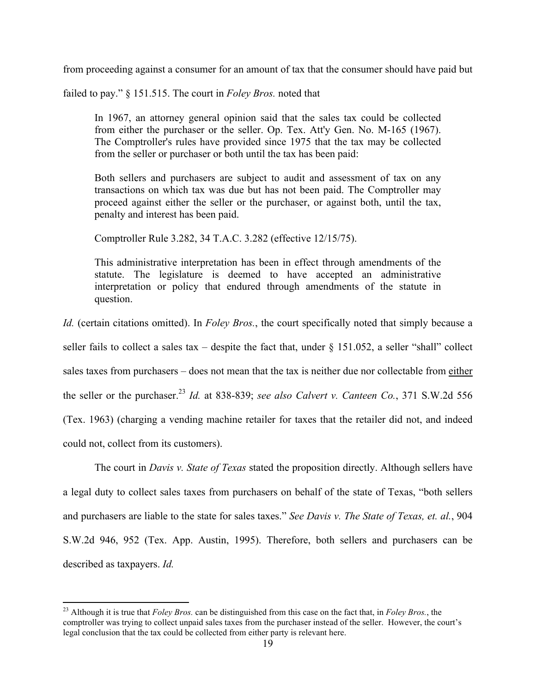from proceeding against a consumer for an amount of tax that the consumer should have paid but

failed to pay." § 151.515. The court in *Foley Bros.* noted that

In 1967, an attorney general opinion said that the sales tax could be collected from either the purchaser or the seller. Op. Tex. Att'y Gen. No. M-165 (1967). The Comptroller's rules have provided since 1975 that the tax may be collected from the seller or purchaser or both until the tax has been paid:

Both sellers and purchasers are subject to audit and assessment of tax on any transactions on which tax was due but has not been paid. The Comptroller may proceed against either the seller or the purchaser, or against both, until the tax, penalty and interest has been paid.

Comptroller Rule 3.282, 34 T.A.C. 3.282 (effective 12/15/75).

This administrative interpretation has been in effect through amendments of the statute. The legislature is deemed to have accepted an administrative interpretation or policy that endured through amendments of the statute in question.

*Id.* (certain citations omitted). In *Foley Bros.*, the court specifically noted that simply because a seller fails to collect a sales tax – despite the fact that, under  $\S$  151.052, a seller "shall" collect sales taxes from purchasers – does not mean that the tax is neither due nor collectable from either the seller or the purchaser.<sup>23</sup> *Id.* at 838-839; *see also Calvert v. Canteen Co.*, 371 S.W.2d 556 (Tex. 1963) (charging a vending machine retailer for taxes that the retailer did not, and indeed could not, collect from its customers).

The court in *Davis v. State of Texas* stated the proposition directly. Although sellers have a legal duty to collect sales taxes from purchasers on behalf of the state of Texas, "both sellers and purchasers are liable to the state for sales taxes." *See Davis v. The State of Texas, et. al.*, 904 S.W.2d 946, 952 (Tex. App. Austin, 1995). Therefore, both sellers and purchasers can be described as taxpayers. *Id.*

23 Although it is true that *Foley Bros.* can be distinguished from this case on the fact that, in *Foley Bros.*, the comptroller was trying to collect unpaid sales taxes from the purchaser instead of the seller. However, the court's legal conclusion that the tax could be collected from either party is relevant here.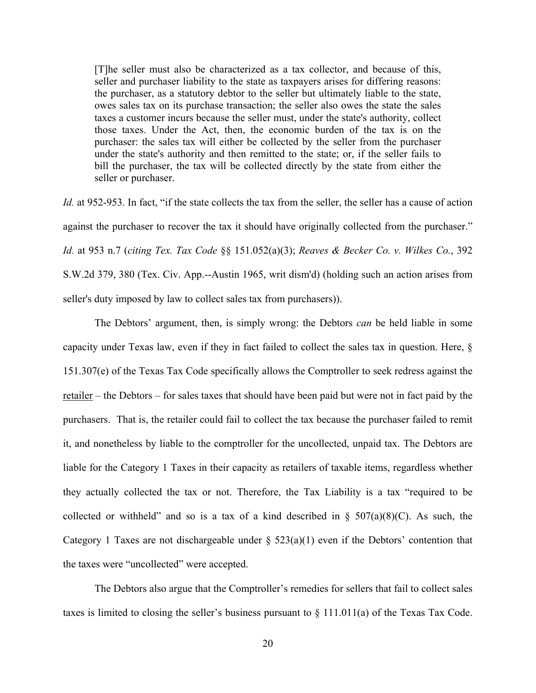[T]he seller must also be characterized as a tax collector, and because of this, seller and purchaser liability to the state as taxpayers arises for differing reasons: the purchaser, as a statutory debtor to the seller but ultimately liable to the state, owes sales tax on its purchase transaction; the seller also owes the state the sales taxes a customer incurs because the seller must, under the state's authority, collect those taxes. Under the Act, then, the economic burden of the tax is on the purchaser: the sales tax will either be collected by the seller from the purchaser under the state's authority and then remitted to the state; or, if the seller fails to bill the purchaser, the tax will be collected directly by the state from either the seller or purchaser.

Id. at 952-953. In fact, "if the state collects the tax from the seller, the seller has a cause of action against the purchaser to recover the tax it should have originally collected from the purchaser." *Id.* at 953 n.7 (*citing Tex. Tax Code* §§ 151.052(a)(3); *Reaves & Becker Co. v. Wilkes Co.*, 392 S.W.2d 379, 380 (Tex. Civ. App.--Austin 1965, writ dism'd) (holding such an action arises from seller's duty imposed by law to collect sales tax from purchasers)).

The Debtors' argument, then, is simply wrong: the Debtors *can* be held liable in some capacity under Texas law, even if they in fact failed to collect the sales tax in question. Here, § 151.307(e) of the Texas Tax Code specifically allows the Comptroller to seek redress against the retailer – the Debtors – for sales taxes that should have been paid but were not in fact paid by the purchasers. That is, the retailer could fail to collect the tax because the purchaser failed to remit it, and nonetheless by liable to the comptroller for the uncollected, unpaid tax. The Debtors are liable for the Category 1 Taxes in their capacity as retailers of taxable items, regardless whether they actually collected the tax or not. Therefore, the Tax Liability is a tax "required to be collected or withheld" and so is a tax of a kind described in  $\S$  507(a)(8)(C). As such, the Category 1 Taxes are not dischargeable under  $\S$  523(a)(1) even if the Debtors' contention that the taxes were "uncollected" were accepted.

The Debtors also argue that the Comptroller's remedies for sellers that fail to collect sales taxes is limited to closing the seller's business pursuant to § 111.011(a) of the Texas Tax Code.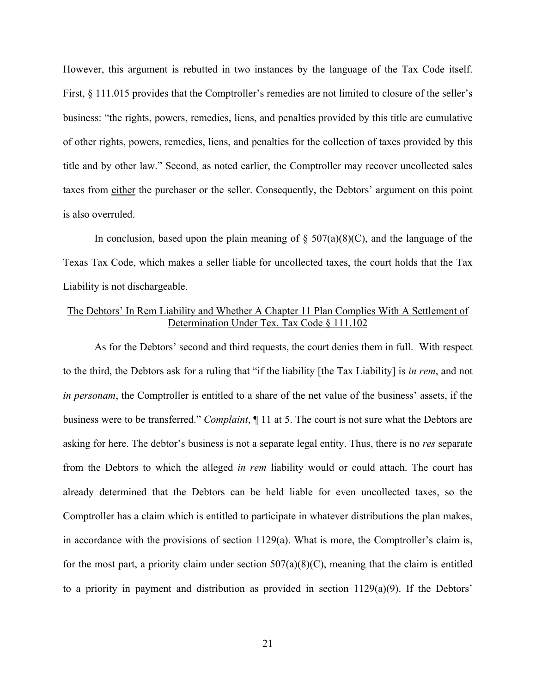However, this argument is rebutted in two instances by the language of the Tax Code itself. First, § 111.015 provides that the Comptroller's remedies are not limited to closure of the seller's business: "the rights, powers, remedies, liens, and penalties provided by this title are cumulative of other rights, powers, remedies, liens, and penalties for the collection of taxes provided by this title and by other law." Second, as noted earlier, the Comptroller may recover uncollected sales taxes from either the purchaser or the seller. Consequently, the Debtors' argument on this point is also overruled.

In conclusion, based upon the plain meaning of  $\S$  507(a)(8)(C), and the language of the Texas Tax Code, which makes a seller liable for uncollected taxes, the court holds that the Tax Liability is not dischargeable.

## The Debtors' In Rem Liability and Whether A Chapter 11 Plan Complies With A Settlement of Determination Under Tex. Tax Code § 111.102

As for the Debtors' second and third requests, the court denies them in full. With respect to the third, the Debtors ask for a ruling that "if the liability [the Tax Liability] is *in rem*, and not *in personam*, the Comptroller is entitled to a share of the net value of the business' assets, if the business were to be transferred." *Complaint*, ¶ 11 at 5. The court is not sure what the Debtors are asking for here. The debtor's business is not a separate legal entity. Thus, there is no *res* separate from the Debtors to which the alleged *in rem* liability would or could attach. The court has already determined that the Debtors can be held liable for even uncollected taxes, so the Comptroller has a claim which is entitled to participate in whatever distributions the plan makes, in accordance with the provisions of section 1129(a). What is more, the Comptroller's claim is, for the most part, a priority claim under section  $507(a)(8)(C)$ , meaning that the claim is entitled to a priority in payment and distribution as provided in section 1129(a)(9). If the Debtors'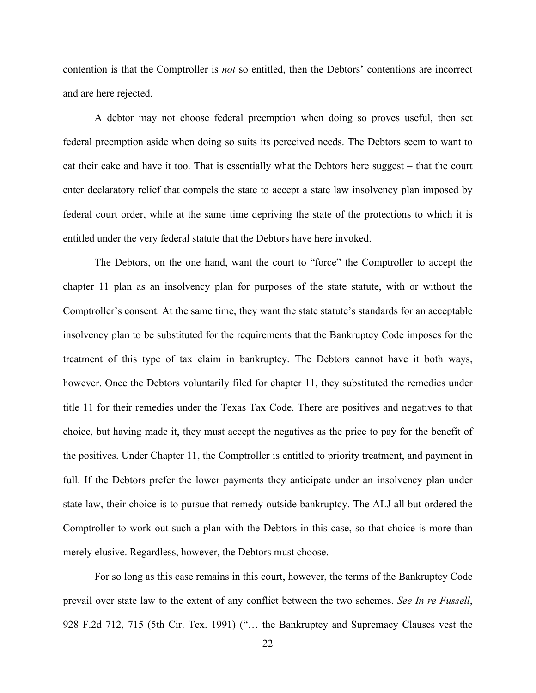contention is that the Comptroller is *not* so entitled, then the Debtors' contentions are incorrect and are here rejected.

A debtor may not choose federal preemption when doing so proves useful, then set federal preemption aside when doing so suits its perceived needs. The Debtors seem to want to eat their cake and have it too. That is essentially what the Debtors here suggest – that the court enter declaratory relief that compels the state to accept a state law insolvency plan imposed by federal court order, while at the same time depriving the state of the protections to which it is entitled under the very federal statute that the Debtors have here invoked.

The Debtors, on the one hand, want the court to "force" the Comptroller to accept the chapter 11 plan as an insolvency plan for purposes of the state statute, with or without the Comptroller's consent. At the same time, they want the state statute's standards for an acceptable insolvency plan to be substituted for the requirements that the Bankruptcy Code imposes for the treatment of this type of tax claim in bankruptcy. The Debtors cannot have it both ways, however. Once the Debtors voluntarily filed for chapter 11, they substituted the remedies under title 11 for their remedies under the Texas Tax Code. There are positives and negatives to that choice, but having made it, they must accept the negatives as the price to pay for the benefit of the positives. Under Chapter 11, the Comptroller is entitled to priority treatment, and payment in full. If the Debtors prefer the lower payments they anticipate under an insolvency plan under state law, their choice is to pursue that remedy outside bankruptcy. The ALJ all but ordered the Comptroller to work out such a plan with the Debtors in this case, so that choice is more than merely elusive. Regardless, however, the Debtors must choose.

For so long as this case remains in this court, however, the terms of the Bankruptcy Code prevail over state law to the extent of any conflict between the two schemes. *See In re Fussell*, 928 F.2d 712, 715 (5th Cir. Tex. 1991) ("… the Bankruptcy and Supremacy Clauses vest the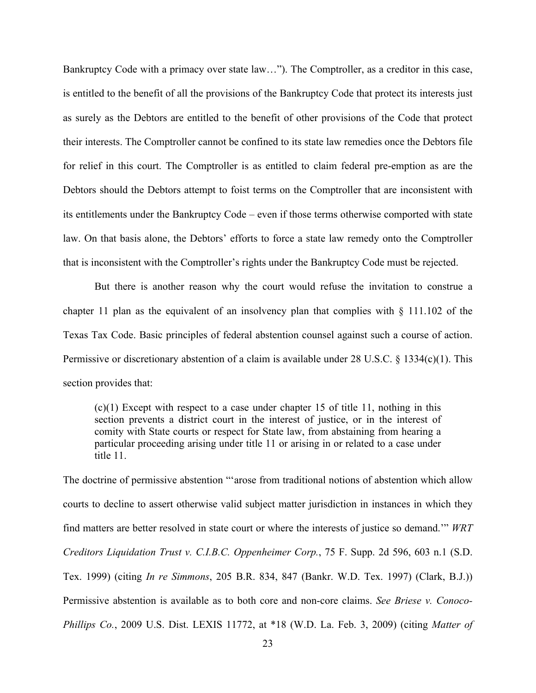Bankruptcy Code with a primacy over state law…"). The Comptroller, as a creditor in this case, is entitled to the benefit of all the provisions of the Bankruptcy Code that protect its interests just as surely as the Debtors are entitled to the benefit of other provisions of the Code that protect their interests. The Comptroller cannot be confined to its state law remedies once the Debtors file for relief in this court. The Comptroller is as entitled to claim federal pre-emption as are the Debtors should the Debtors attempt to foist terms on the Comptroller that are inconsistent with its entitlements under the Bankruptcy Code – even if those terms otherwise comported with state law. On that basis alone, the Debtors' efforts to force a state law remedy onto the Comptroller that is inconsistent with the Comptroller's rights under the Bankruptcy Code must be rejected.

But there is another reason why the court would refuse the invitation to construe a chapter 11 plan as the equivalent of an insolvency plan that complies with  $\S$  111.102 of the Texas Tax Code. Basic principles of federal abstention counsel against such a course of action. Permissive or discretionary abstention of a claim is available under 28 U.S.C. § 1334(c)(1). This section provides that:

 $(c)(1)$  Except with respect to a case under chapter 15 of title 11, nothing in this section prevents a district court in the interest of justice, or in the interest of comity with State courts or respect for State law, from abstaining from hearing a particular proceeding arising under title 11 or arising in or related to a case under title 11.

The doctrine of permissive abstention "'arose from traditional notions of abstention which allow courts to decline to assert otherwise valid subject matter jurisdiction in instances in which they find matters are better resolved in state court or where the interests of justice so demand.'" *WRT Creditors Liquidation Trust v. C.I.B.C. Oppenheimer Corp.*, 75 F. Supp. 2d 596, 603 n.1 (S.D. Tex. 1999) (citing *In re Simmons*, 205 B.R. 834, 847 (Bankr. W.D. Tex. 1997) (Clark, B.J.)) Permissive abstention is available as to both core and non-core claims. *See Briese v. Conoco-Phillips Co.*, 2009 U.S. Dist. LEXIS 11772, at \*18 (W.D. La. Feb. 3, 2009) (citing *Matter of*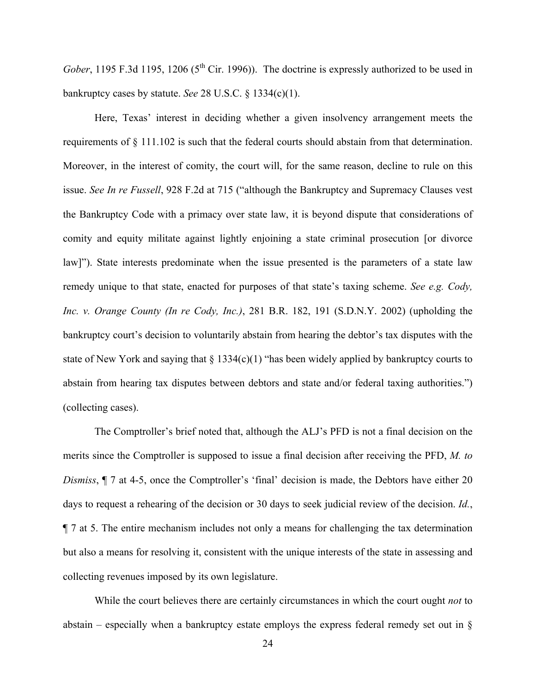*Gober*, 1195 F.3d 1195, 1206 (5<sup>th</sup> Cir. 1996)). The doctrine is expressly authorized to be used in bankruptcy cases by statute. *See* 28 U.S.C. § 1334(c)(1).

Here, Texas' interest in deciding whether a given insolvency arrangement meets the requirements of § 111.102 is such that the federal courts should abstain from that determination. Moreover, in the interest of comity, the court will, for the same reason, decline to rule on this issue. *See In re Fussell*, 928 F.2d at 715 ("although the Bankruptcy and Supremacy Clauses vest the Bankruptcy Code with a primacy over state law, it is beyond dispute that considerations of comity and equity militate against lightly enjoining a state criminal prosecution [or divorce law]"). State interests predominate when the issue presented is the parameters of a state law remedy unique to that state, enacted for purposes of that state's taxing scheme. *See e.g. Cody, Inc. v. Orange County (In re Cody, Inc.)*, 281 B.R. 182, 191 (S.D.N.Y. 2002) (upholding the bankruptcy court's decision to voluntarily abstain from hearing the debtor's tax disputes with the state of New York and saying that  $\S 1334(c)(1)$  "has been widely applied by bankruptcy courts to abstain from hearing tax disputes between debtors and state and/or federal taxing authorities.") (collecting cases).

The Comptroller's brief noted that, although the ALJ's PFD is not a final decision on the merits since the Comptroller is supposed to issue a final decision after receiving the PFD, *M. to Dismiss*,  $\P$  7 at 4-5, once the Comptroller's 'final' decision is made, the Debtors have either 20 days to request a rehearing of the decision or 30 days to seek judicial review of the decision. *Id.*, ¶ 7 at 5. The entire mechanism includes not only a means for challenging the tax determination but also a means for resolving it, consistent with the unique interests of the state in assessing and collecting revenues imposed by its own legislature.

While the court believes there are certainly circumstances in which the court ought *not* to abstain – especially when a bankruptcy estate employs the express federal remedy set out in §